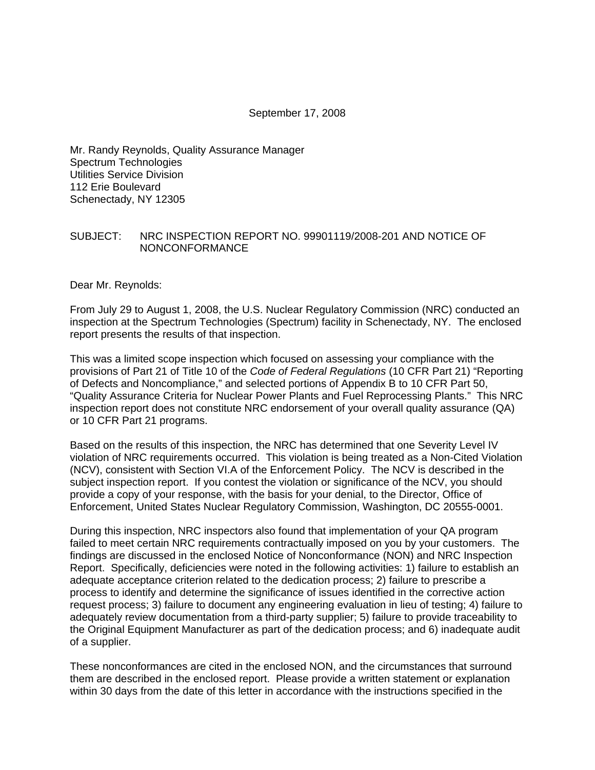### September 17, 2008

Mr. Randy Reynolds, Quality Assurance Manager Spectrum Technologies Utilities Service Division 112 Erie Boulevard Schenectady, NY 12305

### SUBJECT: NRC INSPECTION REPORT NO. 99901119/2008-201 AND NOTICE OF NONCONFORMANCE

Dear Mr. Reynolds:

From July 29 to August 1, 2008, the U.S. Nuclear Regulatory Commission (NRC) conducted an inspection at the Spectrum Technologies (Spectrum) facility in Schenectady, NY. The enclosed report presents the results of that inspection.

This was a limited scope inspection which focused on assessing your compliance with the provisions of Part 21 of Title 10 of the *Code of Federal Regulations* (10 CFR Part 21) "Reporting of Defects and Noncompliance," and selected portions of Appendix B to 10 CFR Part 50, "Quality Assurance Criteria for Nuclear Power Plants and Fuel Reprocessing Plants." This NRC inspection report does not constitute NRC endorsement of your overall quality assurance (QA) or 10 CFR Part 21 programs.

Based on the results of this inspection, the NRC has determined that one Severity Level IV violation of NRC requirements occurred. This violation is being treated as a Non-Cited Violation (NCV), consistent with Section VI.A of the Enforcement Policy. The NCV is described in the subject inspection report. If you contest the violation or significance of the NCV, you should provide a copy of your response, with the basis for your denial, to the Director, Office of Enforcement, United States Nuclear Regulatory Commission, Washington, DC 20555-0001.

During this inspection, NRC inspectors also found that implementation of your QA program failed to meet certain NRC requirements contractually imposed on you by your customers. The findings are discussed in the enclosed Notice of Nonconformance (NON) and NRC Inspection Report. Specifically, deficiencies were noted in the following activities: 1) failure to establish an adequate acceptance criterion related to the dedication process; 2) failure to prescribe a process to identify and determine the significance of issues identified in the corrective action request process; 3) failure to document any engineering evaluation in lieu of testing; 4) failure to adequately review documentation from a third-party supplier; 5) failure to provide traceability to the Original Equipment Manufacturer as part of the dedication process; and 6) inadequate audit of a supplier.

These nonconformances are cited in the enclosed NON, and the circumstances that surround them are described in the enclosed report. Please provide a written statement or explanation within 30 days from the date of this letter in accordance with the instructions specified in the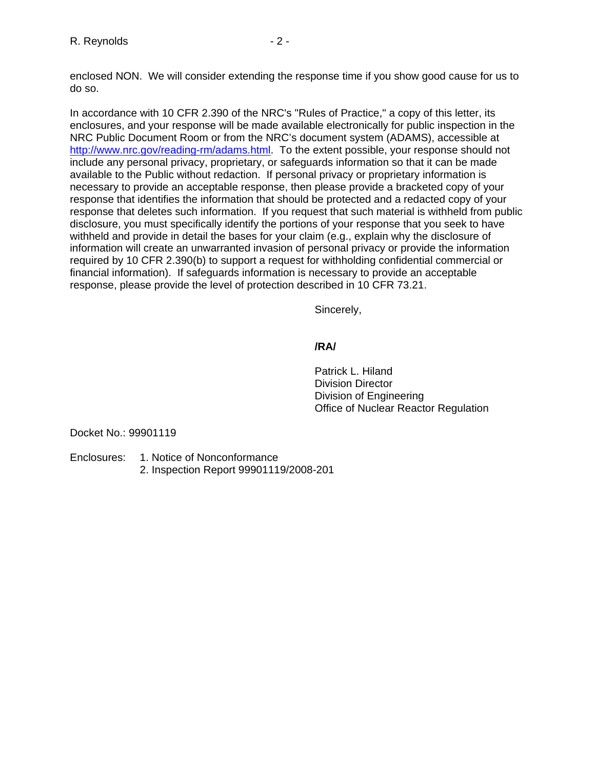enclosed NON. We will consider extending the response time if you show good cause for us to do so.

In accordance with 10 CFR 2.390 of the NRC's "Rules of Practice," a copy of this letter, its enclosures, and your response will be made available electronically for public inspection in the NRC Public Document Room or from the NRC's document system (ADAMS), accessible at [http://www.nrc.gov/reading-rm/adams.html.](http://www.nrc.gov/reading-rm/adams.html) To the extent possible, your response should not include any personal privacy, proprietary, or safeguards information so that it can be made available to the Public without redaction. If personal privacy or proprietary information is necessary to provide an acceptable response, then please provide a bracketed copy of your response that identifies the information that should be protected and a redacted copy of your response that deletes such information. If you request that such material is withheld from public disclosure, you must specifically identify the portions of your response that you seek to have withheld and provide in detail the bases for your claim (e.g., explain why the disclosure of information will create an unwarranted invasion of personal privacy or provide the information required by 10 CFR 2.390(b) to support a request for withholding confidential commercial or financial information). If safeguards information is necessary to provide an acceptable response, please provide the level of protection described in 10 CFR 73.21.

Sincerely,

# **/RA/**

 Patrick L. Hiland Division Director Division of Engineering Office of Nuclear Reactor Regulation

Docket No.: 99901119

- Enclosures: 1. Notice of Nonconformance
	- 2. Inspection Report 99901119/2008-201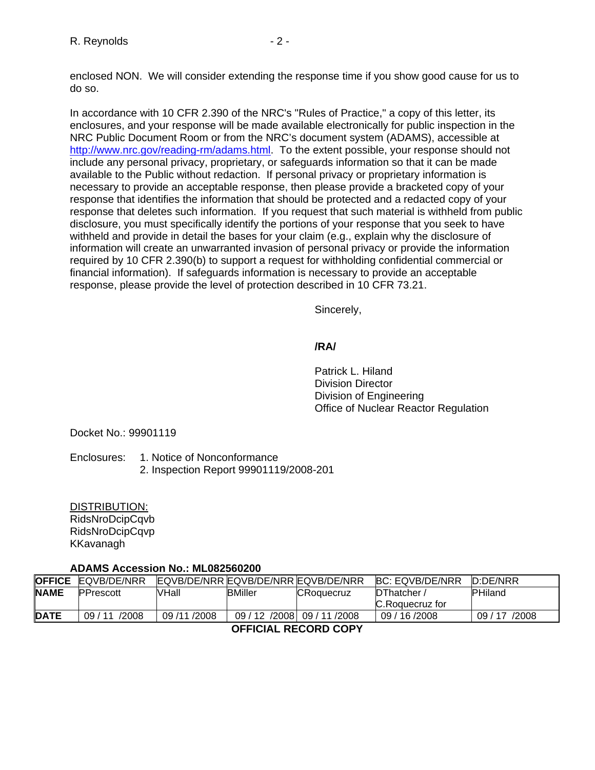enclosed NON. We will consider extending the response time if you show good cause for us to do so.

In accordance with 10 CFR 2.390 of the NRC's "Rules of Practice," a copy of this letter, its enclosures, and your response will be made available electronically for public inspection in the NRC Public Document Room or from the NRC's document system (ADAMS), accessible at [http://www.nrc.gov/reading-rm/adams.html.](http://www.nrc.gov/reading-rm/adams.html) To the extent possible, your response should not include any personal privacy, proprietary, or safeguards information so that it can be made available to the Public without redaction. If personal privacy or proprietary information is necessary to provide an acceptable response, then please provide a bracketed copy of your response that identifies the information that should be protected and a redacted copy of your response that deletes such information. If you request that such material is withheld from public disclosure, you must specifically identify the portions of your response that you seek to have withheld and provide in detail the bases for your claim (e.g., explain why the disclosure of information will create an unwarranted invasion of personal privacy or provide the information required by 10 CFR 2.390(b) to support a request for withholding confidential commercial or financial information). If safeguards information is necessary to provide an acceptable response, please provide the level of protection described in 10 CFR 73.21.

Sincerely,

## **/RA/**

 Patrick L. Hiland Division Director Division of Engineering Office of Nuclear Reactor Regulation

Docket No.: 99901119

Enclosures: 1. Notice of Nonconformance

2. Inspection Report 99901119/2008-201

DISTRIBUTION: RidsNroDcipCqvb RidsNroDcipCqvp KKavanagh

## **ADAMS Accession No.: ML082560200**

| <b>OFFICE</b>               | <b>IEQVB/DE/NRR</b> | EQVB/DE/NRR EQVB/DE/NRR EQVB/DE/NRR |                |                                 | <b>BC: EQVB/DE/NRR</b>       | D:DE/NRR           |  |
|-----------------------------|---------------------|-------------------------------------|----------------|---------------------------------|------------------------------|--------------------|--|
| <b>NAME</b>                 | <b>IPPrescott</b>   | VHall                               | <b>BMiller</b> | <b>CRoquecruz</b>               | DThatcher<br>C.Roquecruz for | <b>PHiland</b>     |  |
| <b>DATE</b>                 | /2008<br>09/11      | 09/11/2008                          |                | 09 / 12 / 2008   09 / 11 / 2008 | 09 / 16 / 2008               | 09/<br>/2008<br>17 |  |
| <b>OFFICIAL RECORD COPY</b> |                     |                                     |                |                                 |                              |                    |  |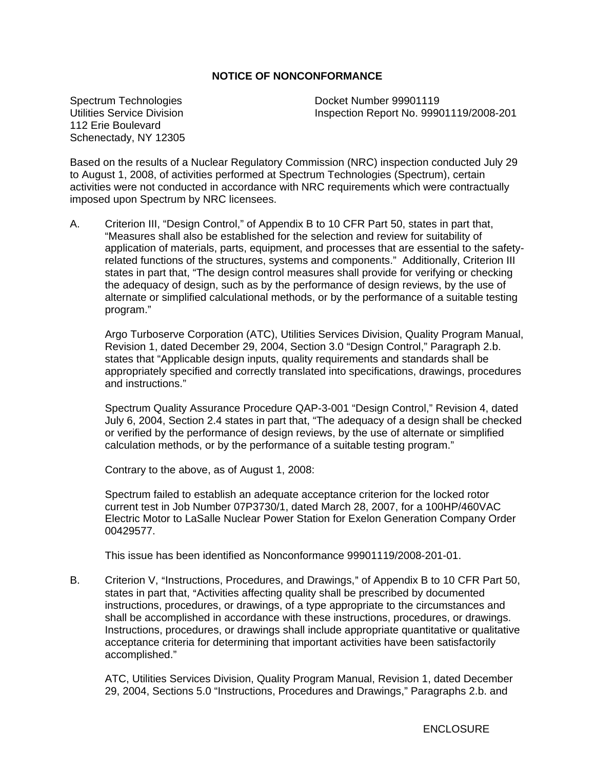## **NOTICE OF NONCONFORMANCE**

Spectrum Technologies Utilities Service Division 112 Erie Boulevard Schenectady, NY 12305 Docket Number 99901119 Inspection Report No. 99901119/2008-201

Based on the results of a Nuclear Regulatory Commission (NRC) inspection conducted July 29 to August 1, 2008, of activities performed at Spectrum Technologies (Spectrum), certain activities were not conducted in accordance with NRC requirements which were contractually imposed upon Spectrum by NRC licensees.

A. Criterion III, "Design Control," of Appendix B to 10 CFR Part 50, states in part that, "Measures shall also be established for the selection and review for suitability of application of materials, parts, equipment, and processes that are essential to the safetyrelated functions of the structures, systems and components." Additionally, Criterion III states in part that, "The design control measures shall provide for verifying or checking the adequacy of design, such as by the performance of design reviews, by the use of alternate or simplified calculational methods, or by the performance of a suitable testing program."

Argo Turboserve Corporation (ATC), Utilities Services Division, Quality Program Manual, Revision 1, dated December 29, 2004, Section 3.0 "Design Control," Paragraph 2.b. states that "Applicable design inputs, quality requirements and standards shall be appropriately specified and correctly translated into specifications, drawings, procedures and instructions."

Spectrum Quality Assurance Procedure QAP-3-001 "Design Control," Revision 4, dated July 6, 2004, Section 2.4 states in part that, "The adequacy of a design shall be checked or verified by the performance of design reviews, by the use of alternate or simplified calculation methods, or by the performance of a suitable testing program."

Contrary to the above, as of August 1, 2008:

Spectrum failed to establish an adequate acceptance criterion for the locked rotor current test in Job Number 07P3730/1, dated March 28, 2007, for a 100HP/460VAC Electric Motor to LaSalle Nuclear Power Station for Exelon Generation Company Order 00429577.

This issue has been identified as Nonconformance 99901119/2008-201-01.

B. Criterion V, "Instructions, Procedures, and Drawings," of Appendix B to 10 CFR Part 50, states in part that, "Activities affecting quality shall be prescribed by documented instructions, procedures, or drawings, of a type appropriate to the circumstances and shall be accomplished in accordance with these instructions, procedures, or drawings. Instructions, procedures, or drawings shall include appropriate quantitative or qualitative acceptance criteria for determining that important activities have been satisfactorily accomplished."

ATC, Utilities Services Division, Quality Program Manual, Revision 1, dated December 29, 2004, Sections 5.0 "Instructions, Procedures and Drawings," Paragraphs 2.b. and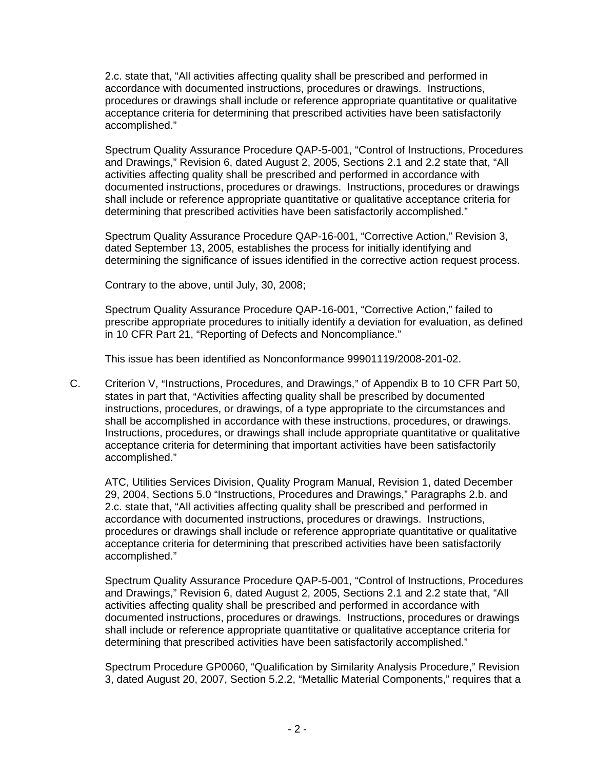2.c. state that, "All activities affecting quality shall be prescribed and performed in accordance with documented instructions, procedures or drawings. Instructions, procedures or drawings shall include or reference appropriate quantitative or qualitative acceptance criteria for determining that prescribed activities have been satisfactorily accomplished."

Spectrum Quality Assurance Procedure QAP-5-001, "Control of Instructions, Procedures and Drawings," Revision 6, dated August 2, 2005, Sections 2.1 and 2.2 state that, "All activities affecting quality shall be prescribed and performed in accordance with documented instructions, procedures or drawings. Instructions, procedures or drawings shall include or reference appropriate quantitative or qualitative acceptance criteria for determining that prescribed activities have been satisfactorily accomplished."

Spectrum Quality Assurance Procedure QAP-16-001, "Corrective Action," Revision 3, dated September 13, 2005, establishes the process for initially identifying and determining the significance of issues identified in the corrective action request process.

Contrary to the above, until July, 30, 2008;

Spectrum Quality Assurance Procedure QAP-16-001, "Corrective Action," failed to prescribe appropriate procedures to initially identify a deviation for evaluation, as defined in 10 CFR Part 21, "Reporting of Defects and Noncompliance."

This issue has been identified as Nonconformance 99901119/2008-201-02.

C. Criterion V, "Instructions, Procedures, and Drawings," of Appendix B to 10 CFR Part 50, states in part that, "Activities affecting quality shall be prescribed by documented instructions, procedures, or drawings, of a type appropriate to the circumstances and shall be accomplished in accordance with these instructions, procedures, or drawings. Instructions, procedures, or drawings shall include appropriate quantitative or qualitative acceptance criteria for determining that important activities have been satisfactorily accomplished."

ATC, Utilities Services Division, Quality Program Manual, Revision 1, dated December 29, 2004, Sections 5.0 "Instructions, Procedures and Drawings," Paragraphs 2.b. and 2.c. state that, "All activities affecting quality shall be prescribed and performed in accordance with documented instructions, procedures or drawings. Instructions, procedures or drawings shall include or reference appropriate quantitative or qualitative acceptance criteria for determining that prescribed activities have been satisfactorily accomplished."

Spectrum Quality Assurance Procedure QAP-5-001, "Control of Instructions, Procedures and Drawings," Revision 6, dated August 2, 2005, Sections 2.1 and 2.2 state that, "All activities affecting quality shall be prescribed and performed in accordance with documented instructions, procedures or drawings. Instructions, procedures or drawings shall include or reference appropriate quantitative or qualitative acceptance criteria for determining that prescribed activities have been satisfactorily accomplished."

Spectrum Procedure GP0060, "Qualification by Similarity Analysis Procedure," Revision 3, dated August 20, 2007, Section 5.2.2, "Metallic Material Components," requires that a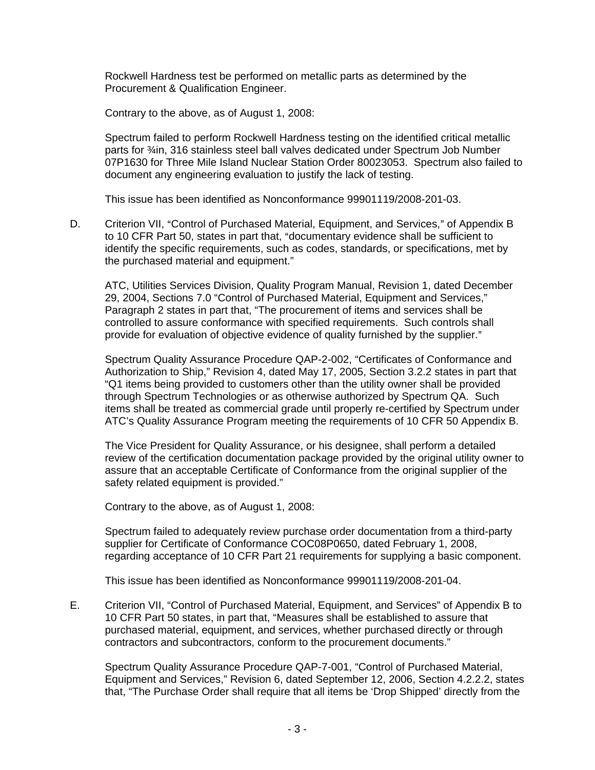Rockwell Hardness test be performed on metallic parts as determined by the Procurement & Qualification Engineer.

Contrary to the above, as of August 1, 2008:

Spectrum failed to perform Rockwell Hardness testing on the identified critical metallic parts for <sup>3</sup>/<sub>4</sub>in, 316 stainless steel ball valves dedicated under Spectrum Job Number 07P1630 for Three Mile Island Nuclear Station Order 80023053. Spectrum also failed to document any engineering evaluation to justify the lack of testing.

This issue has been identified as Nonconformance 99901119/2008-201-03.

D. Criterion VII, "Control of Purchased Material, Equipment, and Services," of Appendix B to 10 CFR Part 50, states in part that, "documentary evidence shall be sufficient to identify the specific requirements, such as codes, standards, or specifications, met by the purchased material and equipment."

ATC, Utilities Services Division, Quality Program Manual, Revision 1, dated December 29, 2004, Sections 7.0 "Control of Purchased Material, Equipment and Services," Paragraph 2 states in part that, "The procurement of items and services shall be controlled to assure conformance with specified requirements. Such controls shall provide for evaluation of objective evidence of quality furnished by the supplier."

Spectrum Quality Assurance Procedure QAP-2-002, "Certificates of Conformance and Authorization to Ship," Revision 4, dated May 17, 2005, Section 3.2.2 states in part that "Q1 items being provided to customers other than the utility owner shall be provided through Spectrum Technologies or as otherwise authorized by Spectrum QA. Such items shall be treated as commercial grade until properly re-certified by Spectrum under ATC's Quality Assurance Program meeting the requirements of 10 CFR 50 Appendix B.

The Vice President for Quality Assurance, or his designee, shall perform a detailed review of the certification documentation package provided by the original utility owner to assure that an acceptable Certificate of Conformance from the original supplier of the safety related equipment is provided."

Contrary to the above, as of August 1, 2008:

Spectrum failed to adequately review purchase order documentation from a third-party supplier for Certificate of Conformance COC08P0650, dated February 1, 2008, regarding acceptance of 10 CFR Part 21 requirements for supplying a basic component.

This issue has been identified as Nonconformance 99901119/2008-201-04.

E. Criterion VII, "Control of Purchased Material, Equipment, and Services" of Appendix B to 10 CFR Part 50 states, in part that, "Measures shall be established to assure that purchased material, equipment, and services, whether purchased directly or through contractors and subcontractors, conform to the procurement documents."

Spectrum Quality Assurance Procedure QAP-7-001, "Control of Purchased Material, Equipment and Services," Revision 6, dated September 12, 2006, Section 4.2.2.2, states that, "The Purchase Order shall require that all items be 'Drop Shipped' directly from the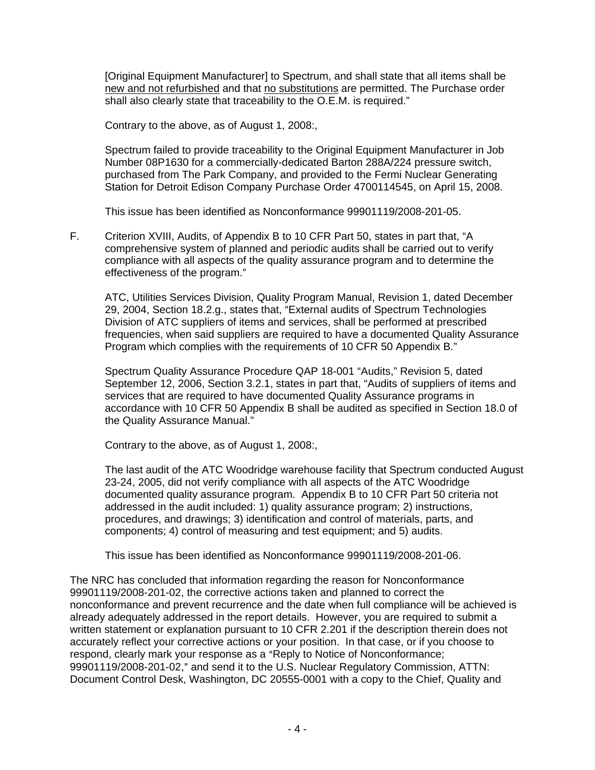[Original Equipment Manufacturer] to Spectrum, and shall state that all items shall be new and not refurbished and that no substitutions are permitted. The Purchase order shall also clearly state that traceability to the O.E.M. is required."

Contrary to the above, as of August 1, 2008:,

Spectrum failed to provide traceability to the Original Equipment Manufacturer in Job Number 08P1630 for a commercially-dedicated Barton 288A/224 pressure switch, purchased from The Park Company, and provided to the Fermi Nuclear Generating Station for Detroit Edison Company Purchase Order 4700114545, on April 15, 2008.

This issue has been identified as Nonconformance 99901119/2008-201-05.

F. Criterion XVIII, Audits, of Appendix B to 10 CFR Part 50, states in part that, "A comprehensive system of planned and periodic audits shall be carried out to verify compliance with all aspects of the quality assurance program and to determine the effectiveness of the program."

ATC, Utilities Services Division, Quality Program Manual, Revision 1, dated December 29, 2004, Section 18.2.g., states that, "External audits of Spectrum Technologies Division of ATC suppliers of items and services, shall be performed at prescribed frequencies, when said suppliers are required to have a documented Quality Assurance Program which complies with the requirements of 10 CFR 50 Appendix B."

Spectrum Quality Assurance Procedure QAP 18-001 "Audits," Revision 5, dated September 12, 2006, Section 3.2.1, states in part that, "Audits of suppliers of items and services that are required to have documented Quality Assurance programs in accordance with 10 CFR 50 Appendix B shall be audited as specified in Section 18.0 of the Quality Assurance Manual."

Contrary to the above, as of August 1, 2008:,

The last audit of the ATC Woodridge warehouse facility that Spectrum conducted August 23-24, 2005, did not verify compliance with all aspects of the ATC Woodridge documented quality assurance program. Appendix B to 10 CFR Part 50 criteria not addressed in the audit included: 1) quality assurance program; 2) instructions, procedures, and drawings; 3) identification and control of materials, parts, and components; 4) control of measuring and test equipment; and 5) audits.

This issue has been identified as Nonconformance 99901119/2008-201-06.

The NRC has concluded that information regarding the reason for Nonconformance 99901119/2008-201-02, the corrective actions taken and planned to correct the nonconformance and prevent recurrence and the date when full compliance will be achieved is already adequately addressed in the report details. However, you are required to submit a written statement or explanation pursuant to 10 CFR 2.201 if the description therein does not accurately reflect your corrective actions or your position. In that case, or if you choose to respond, clearly mark your response as a "Reply to Notice of Nonconformance; 99901119/2008-201-02," and send it to the U.S. Nuclear Regulatory Commission, ATTN: Document Control Desk, Washington, DC 20555-0001 with a copy to the Chief, Quality and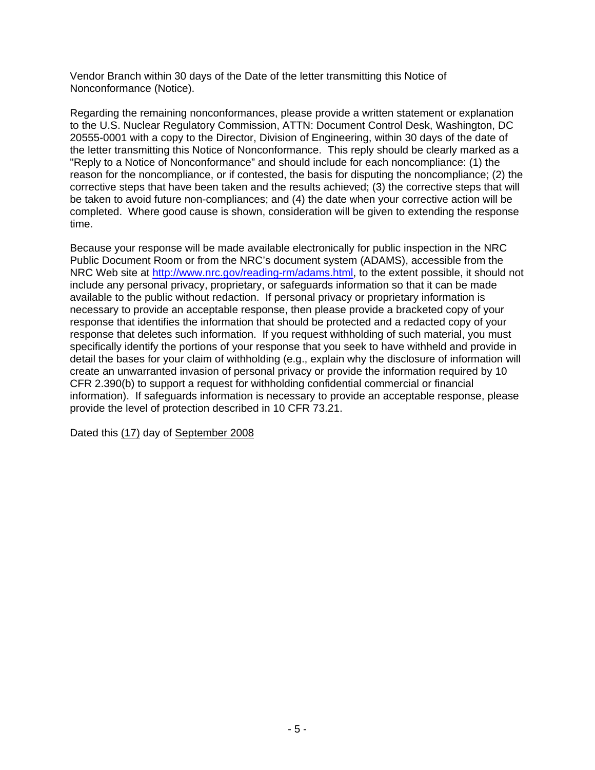Vendor Branch within 30 days of the Date of the letter transmitting this Notice of Nonconformance (Notice).

Regarding the remaining nonconformances, please provide a written statement or explanation to the U.S. Nuclear Regulatory Commission, ATTN: Document Control Desk, Washington, DC 20555-0001 with a copy to the Director, Division of Engineering, within 30 days of the date of the letter transmitting this Notice of Nonconformance. This reply should be clearly marked as a "Reply to a Notice of Nonconformance" and should include for each noncompliance: (1) the reason for the noncompliance, or if contested, the basis for disputing the noncompliance; (2) the corrective steps that have been taken and the results achieved; (3) the corrective steps that will be taken to avoid future non-compliances; and (4) the date when your corrective action will be completed. Where good cause is shown, consideration will be given to extending the response time.

Because your response will be made available electronically for public inspection in the NRC Public Document Room or from the NRC's document system (ADAMS), accessible from the NRC Web site at <http://www.nrc.gov/reading-rm/adams.html>, to the extent possible, it should not include any personal privacy, proprietary, or safeguards information so that it can be made available to the public without redaction. If personal privacy or proprietary information is necessary to provide an acceptable response, then please provide a bracketed copy of your response that identifies the information that should be protected and a redacted copy of your response that deletes such information. If you request withholding of such material, you must specifically identify the portions of your response that you seek to have withheld and provide in detail the bases for your claim of withholding (e.g., explain why the disclosure of information will create an unwarranted invasion of personal privacy or provide the information required by 10 CFR 2.390(b) to support a request for withholding confidential commercial or financial information). If safeguards information is necessary to provide an acceptable response, please provide the level of protection described in 10 CFR 73.21.

Dated this (17) day of September 2008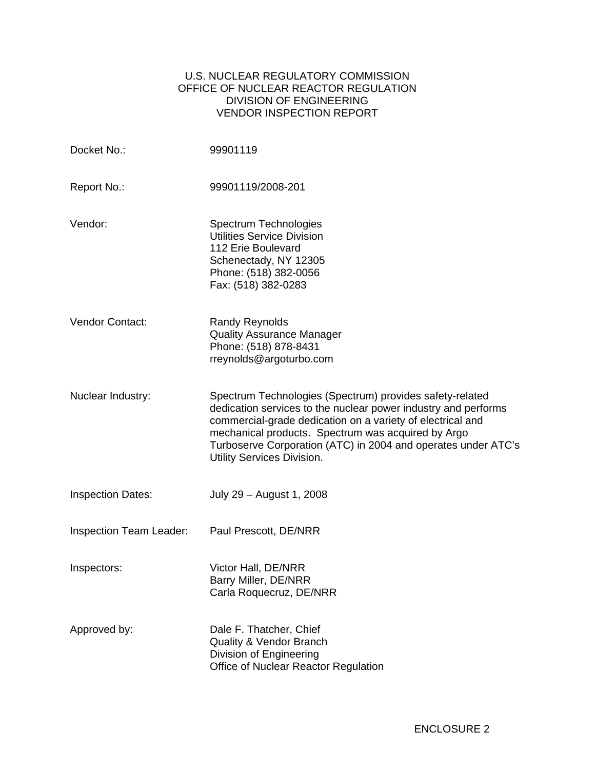## U.S. NUCLEAR REGULATORY COMMISSION OFFICE OF NUCLEAR REACTOR REGULATION DIVISION OF ENGINEERING VENDOR INSPECTION REPORT

| Docket No.:                    | 99901119                                                                                                                                                                                                                                                                                                                                      |
|--------------------------------|-----------------------------------------------------------------------------------------------------------------------------------------------------------------------------------------------------------------------------------------------------------------------------------------------------------------------------------------------|
| Report No.:                    | 99901119/2008-201                                                                                                                                                                                                                                                                                                                             |
| Vendor:                        | Spectrum Technologies<br><b>Utilities Service Division</b><br>112 Erie Boulevard<br>Schenectady, NY 12305<br>Phone: (518) 382-0056<br>Fax: (518) 382-0283                                                                                                                                                                                     |
| Vendor Contact:                | <b>Randy Reynolds</b><br><b>Quality Assurance Manager</b><br>Phone: (518) 878-8431<br>rreynolds@argoturbo.com                                                                                                                                                                                                                                 |
| Nuclear Industry:              | Spectrum Technologies (Spectrum) provides safety-related<br>dedication services to the nuclear power industry and performs<br>commercial-grade dedication on a variety of electrical and<br>mechanical products. Spectrum was acquired by Argo<br>Turboserve Corporation (ATC) in 2004 and operates under ATC's<br>Utility Services Division. |
| <b>Inspection Dates:</b>       | July 29 - August 1, 2008                                                                                                                                                                                                                                                                                                                      |
| <b>Inspection Team Leader:</b> | Paul Prescott, DE/NRR                                                                                                                                                                                                                                                                                                                         |
| Inspectors:                    | Victor Hall, DE/NRR<br>Barry Miller, DE/NRR<br>Carla Roquecruz, DE/NRR                                                                                                                                                                                                                                                                        |
| Approved by:                   | Dale F. Thatcher, Chief<br><b>Quality &amp; Vendor Branch</b><br>Division of Engineering<br>Office of Nuclear Reactor Regulation                                                                                                                                                                                                              |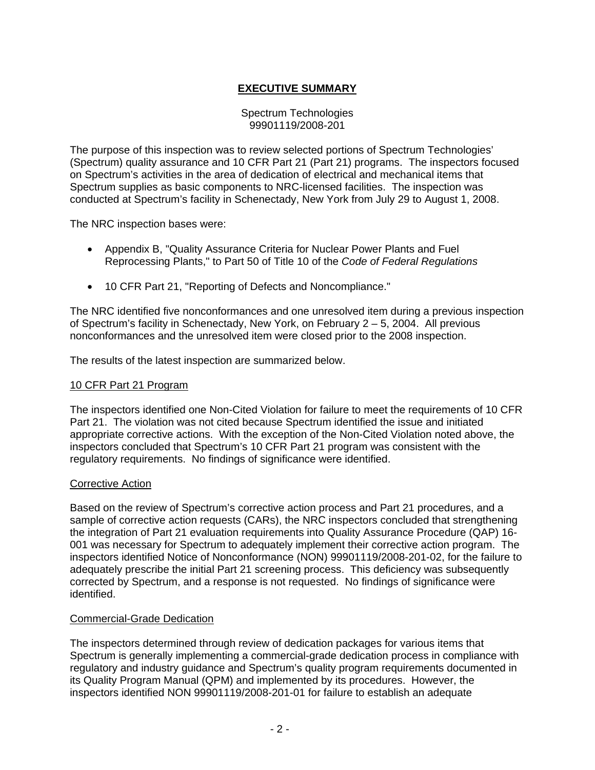# **EXECUTIVE SUMMARY**

### Spectrum Technologies 99901119/2008-201

The purpose of this inspection was to review selected portions of Spectrum Technologies' (Spectrum) quality assurance and 10 CFR Part 21 (Part 21) programs. The inspectors focused on Spectrum's activities in the area of dedication of electrical and mechanical items that Spectrum supplies as basic components to NRC-licensed facilities. The inspection was conducted at Spectrum's facility in Schenectady, New York from July 29 to August 1, 2008.

The NRC inspection bases were:

- Appendix B, "Quality Assurance Criteria for Nuclear Power Plants and Fuel Reprocessing Plants," to Part 50 of Title 10 of the *Code of Federal Regulations*
- 10 CFR Part 21, "Reporting of Defects and Noncompliance."

The NRC identified five nonconformances and one unresolved item during a previous inspection of Spectrum's facility in Schenectady, New York, on February 2 – 5, 2004. All previous nonconformances and the unresolved item were closed prior to the 2008 inspection.

The results of the latest inspection are summarized below.

### 10 CFR Part 21 Program

The inspectors identified one Non-Cited Violation for failure to meet the requirements of 10 CFR Part 21. The violation was not cited because Spectrum identified the issue and initiated appropriate corrective actions. With the exception of the Non-Cited Violation noted above, the inspectors concluded that Spectrum's 10 CFR Part 21 program was consistent with the regulatory requirements. No findings of significance were identified.

### Corrective Action

Based on the review of Spectrum's corrective action process and Part 21 procedures, and a sample of corrective action requests (CARs), the NRC inspectors concluded that strengthening the integration of Part 21 evaluation requirements into Quality Assurance Procedure (QAP) 16- 001 was necessary for Spectrum to adequately implement their corrective action program. The inspectors identified Notice of Nonconformance (NON) 99901119/2008-201-02, for the failure to adequately prescribe the initial Part 21 screening process. This deficiency was subsequently corrected by Spectrum, and a response is not requested. No findings of significance were identified.

### Commercial-Grade Dedication

The inspectors determined through review of dedication packages for various items that Spectrum is generally implementing a commercial-grade dedication process in compliance with regulatory and industry guidance and Spectrum's quality program requirements documented in its Quality Program Manual (QPM) and implemented by its procedures. However, the inspectors identified NON 99901119/2008-201-01 for failure to establish an adequate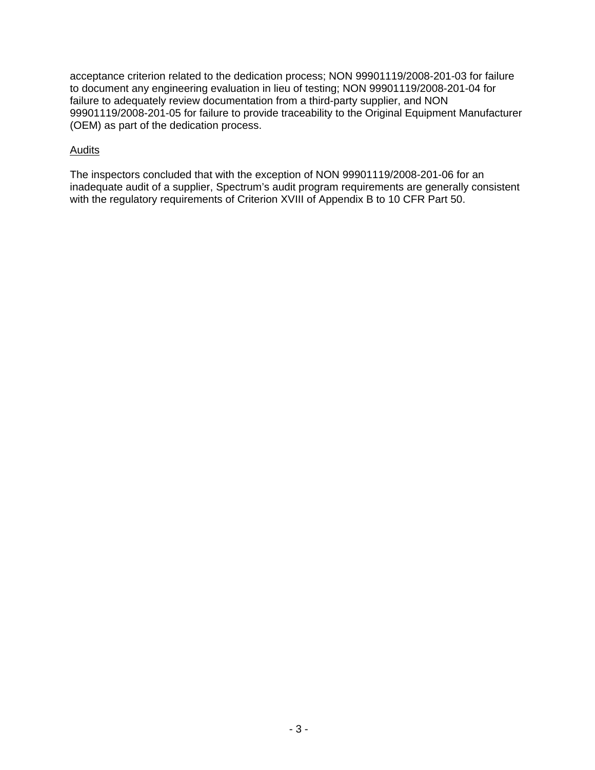acceptance criterion related to the dedication process; NON 99901119/2008-201-03 for failure to document any engineering evaluation in lieu of testing; NON 99901119/2008-201-04 for failure to adequately review documentation from a third-party supplier, and NON 99901119/2008-201-05 for failure to provide traceability to the Original Equipment Manufacturer (OEM) as part of the dedication process.

## Audits

The inspectors concluded that with the exception of NON 99901119/2008-201-06 for an inadequate audit of a supplier, Spectrum's audit program requirements are generally consistent with the regulatory requirements of Criterion XVIII of Appendix B to 10 CFR Part 50.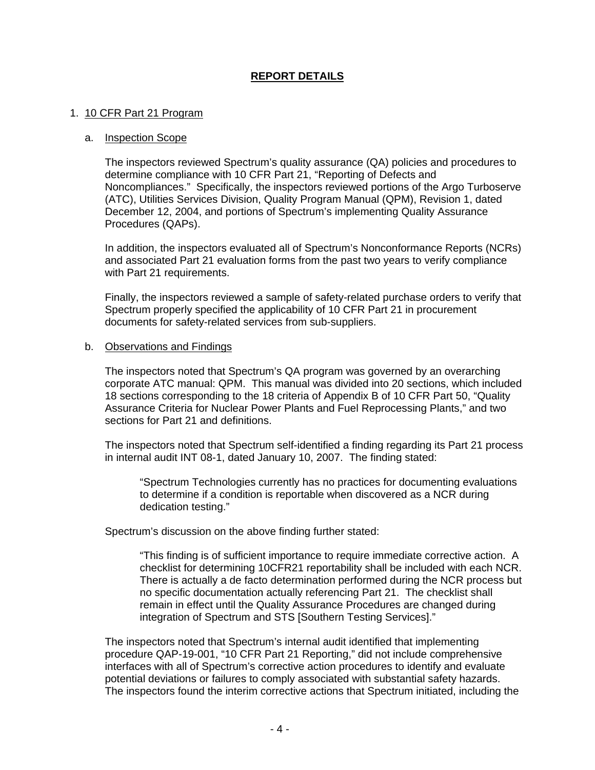## **REPORT DETAILS**

### 1. 10 CFR Part 21 Program

#### a. Inspection Scope

The inspectors reviewed Spectrum's quality assurance (QA) policies and procedures to determine compliance with 10 CFR Part 21, "Reporting of Defects and Noncompliances." Specifically, the inspectors reviewed portions of the Argo Turboserve (ATC), Utilities Services Division, Quality Program Manual (QPM), Revision 1, dated December 12, 2004, and portions of Spectrum's implementing Quality Assurance Procedures (QAPs).

In addition, the inspectors evaluated all of Spectrum's Nonconformance Reports (NCRs) and associated Part 21 evaluation forms from the past two years to verify compliance with Part 21 requirements.

Finally, the inspectors reviewed a sample of safety-related purchase orders to verify that Spectrum properly specified the applicability of 10 CFR Part 21 in procurement documents for safety-related services from sub-suppliers.

#### b. Observations and Findings

The inspectors noted that Spectrum's QA program was governed by an overarching corporate ATC manual: QPM. This manual was divided into 20 sections, which included 18 sections corresponding to the 18 criteria of Appendix B of 10 CFR Part 50, "Quality Assurance Criteria for Nuclear Power Plants and Fuel Reprocessing Plants," and two sections for Part 21 and definitions.

The inspectors noted that Spectrum self-identified a finding regarding its Part 21 process in internal audit INT 08-1, dated January 10, 2007. The finding stated:

"Spectrum Technologies currently has no practices for documenting evaluations to determine if a condition is reportable when discovered as a NCR during dedication testing."

Spectrum's discussion on the above finding further stated:

"This finding is of sufficient importance to require immediate corrective action. A checklist for determining 10CFR21 reportability shall be included with each NCR. There is actually a de facto determination performed during the NCR process but no specific documentation actually referencing Part 21. The checklist shall remain in effect until the Quality Assurance Procedures are changed during integration of Spectrum and STS [Southern Testing Services]."

The inspectors noted that Spectrum's internal audit identified that implementing procedure QAP-19-001, "10 CFR Part 21 Reporting," did not include comprehensive interfaces with all of Spectrum's corrective action procedures to identify and evaluate potential deviations or failures to comply associated with substantial safety hazards. The inspectors found the interim corrective actions that Spectrum initiated, including the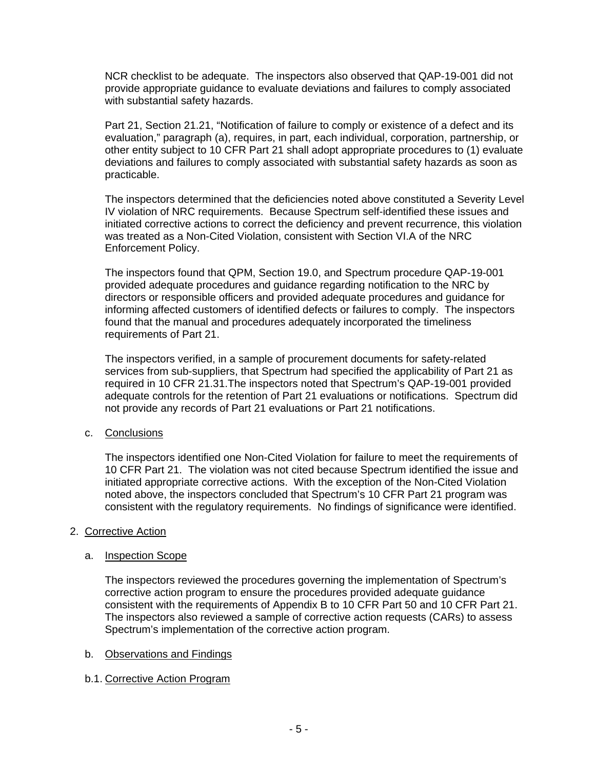NCR checklist to be adequate. The inspectors also observed that QAP-19-001 did not provide appropriate guidance to evaluate deviations and failures to comply associated with substantial safety hazards.

Part 21, Section 21.21, "Notification of failure to comply or existence of a defect and its evaluation," paragraph (a), requires, in part, each individual, corporation, partnership, or other entity subject to 10 CFR Part 21 shall adopt appropriate procedures to (1) evaluate deviations and failures to comply associated with substantial safety hazards as soon as practicable.

The inspectors determined that the deficiencies noted above constituted a Severity Level IV violation of NRC requirements. Because Spectrum self-identified these issues and initiated corrective actions to correct the deficiency and prevent recurrence, this violation was treated as a Non-Cited Violation, consistent with Section VI.A of the NRC Enforcement Policy.

The inspectors found that QPM, Section 19.0, and Spectrum procedure QAP-19-001 provided adequate procedures and guidance regarding notification to the NRC by directors or responsible officers and provided adequate procedures and guidance for informing affected customers of identified defects or failures to comply. The inspectors found that the manual and procedures adequately incorporated the timeliness requirements of Part 21.

The inspectors verified, in a sample of procurement documents for safety-related services from sub-suppliers, that Spectrum had specified the applicability of Part 21 as required in 10 CFR 21.31.The inspectors noted that Spectrum's QAP-19-001 provided adequate controls for the retention of Part 21 evaluations or notifications. Spectrum did not provide any records of Part 21 evaluations or Part 21 notifications.

## c. Conclusions

The inspectors identified one Non-Cited Violation for failure to meet the requirements of 10 CFR Part 21. The violation was not cited because Spectrum identified the issue and initiated appropriate corrective actions. With the exception of the Non-Cited Violation noted above, the inspectors concluded that Spectrum's 10 CFR Part 21 program was consistent with the regulatory requirements. No findings of significance were identified.

## 2. Corrective Action

# a. Inspection Scope

The inspectors reviewed the procedures governing the implementation of Spectrum's corrective action program to ensure the procedures provided adequate guidance consistent with the requirements of Appendix B to 10 CFR Part 50 and 10 CFR Part 21. The inspectors also reviewed a sample of corrective action requests (CARs) to assess Spectrum's implementation of the corrective action program.

# b. Observations and Findings

# b.1. Corrective Action Program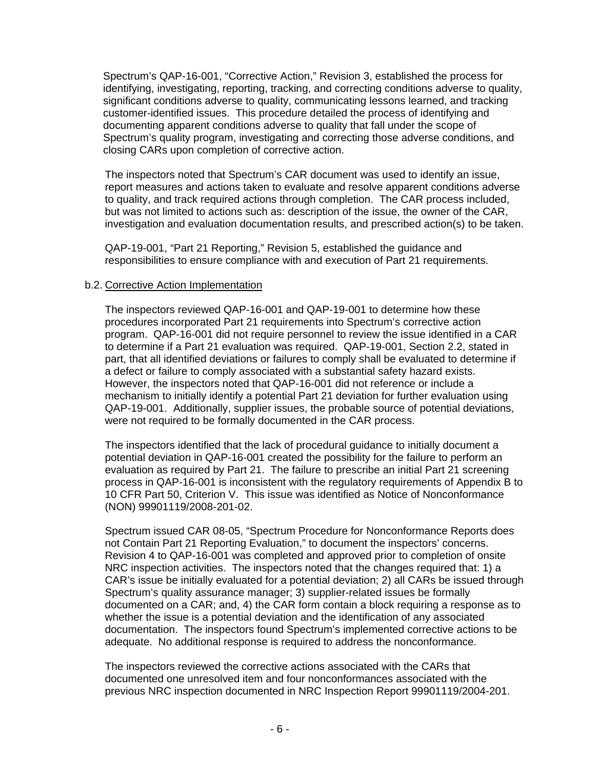Spectrum's QAP-16-001, "Corrective Action," Revision 3, established the process for identifying, investigating, reporting, tracking, and correcting conditions adverse to quality, significant conditions adverse to quality, communicating lessons learned, and tracking customer-identified issues. This procedure detailed the process of identifying and documenting apparent conditions adverse to quality that fall under the scope of Spectrum's quality program, investigating and correcting those adverse conditions, and closing CARs upon completion of corrective action.

The inspectors noted that Spectrum's CAR document was used to identify an issue, report measures and actions taken to evaluate and resolve apparent conditions adverse to quality, and track required actions through completion. The CAR process included, but was not limited to actions such as: description of the issue, the owner of the CAR, investigation and evaluation documentation results, and prescribed action(s) to be taken.

QAP-19-001, "Part 21 Reporting," Revision 5, established the guidance and responsibilities to ensure compliance with and execution of Part 21 requirements.

### b.2. Corrective Action Implementation

The inspectors reviewed QAP-16-001 and QAP-19-001 to determine how these procedures incorporated Part 21 requirements into Spectrum's corrective action program. QAP-16-001 did not require personnel to review the issue identified in a CAR to determine if a Part 21 evaluation was required. QAP-19-001, Section 2.2, stated in part, that all identified deviations or failures to comply shall be evaluated to determine if a defect or failure to comply associated with a substantial safety hazard exists. However, the inspectors noted that QAP-16-001 did not reference or include a mechanism to initially identify a potential Part 21 deviation for further evaluation using QAP-19-001. Additionally, supplier issues, the probable source of potential deviations, were not required to be formally documented in the CAR process.

The inspectors identified that the lack of procedural guidance to initially document a potential deviation in QAP-16-001 created the possibility for the failure to perform an evaluation as required by Part 21. The failure to prescribe an initial Part 21 screening process in QAP-16-001 is inconsistent with the regulatory requirements of Appendix B to 10 CFR Part 50, Criterion V. This issue was identified as Notice of Nonconformance (NON) 99901119/2008-201-02.

Spectrum issued CAR 08-05, "Spectrum Procedure for Nonconformance Reports does not Contain Part 21 Reporting Evaluation," to document the inspectors' concerns. Revision 4 to QAP-16-001 was completed and approved prior to completion of onsite NRC inspection activities. The inspectors noted that the changes required that: 1) a CAR's issue be initially evaluated for a potential deviation; 2) all CARs be issued through Spectrum's quality assurance manager; 3) supplier-related issues be formally documented on a CAR; and, 4) the CAR form contain a block requiring a response as to whether the issue is a potential deviation and the identification of any associated documentation. The inspectors found Spectrum's implemented corrective actions to be adequate. No additional response is required to address the nonconformance.

The inspectors reviewed the corrective actions associated with the CARs that documented one unresolved item and four nonconformances associated with the previous NRC inspection documented in NRC Inspection Report 99901119/2004-201.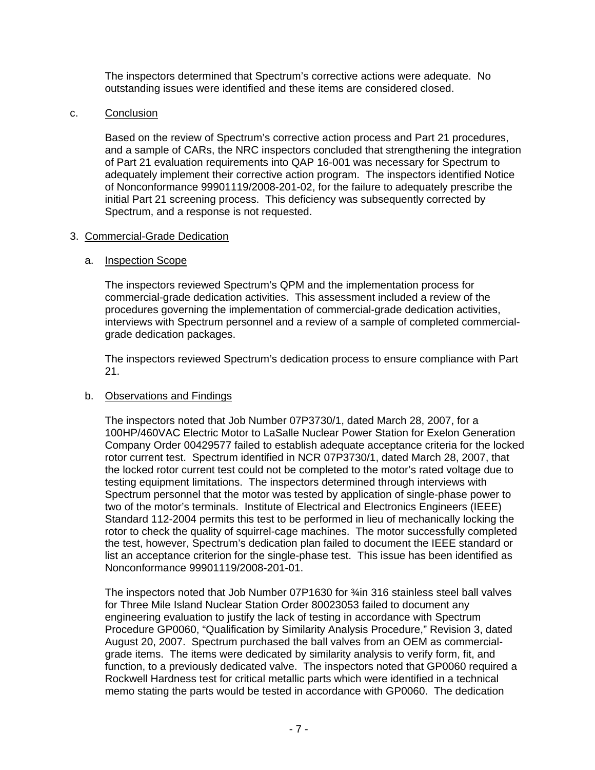The inspectors determined that Spectrum's corrective actions were adequate. No outstanding issues were identified and these items are considered closed.

### c. Conclusion

Based on the review of Spectrum's corrective action process and Part 21 procedures, and a sample of CARs, the NRC inspectors concluded that strengthening the integration of Part 21 evaluation requirements into QAP 16-001 was necessary for Spectrum to adequately implement their corrective action program. The inspectors identified Notice of Nonconformance 99901119/2008-201-02, for the failure to adequately prescribe the initial Part 21 screening process. This deficiency was subsequently corrected by Spectrum, and a response is not requested.

### 3. Commercial-Grade Dedication

### a. **Inspection Scope**

The inspectors reviewed Spectrum's QPM and the implementation process for commercial-grade dedication activities. This assessment included a review of the procedures governing the implementation of commercial-grade dedication activities, interviews with Spectrum personnel and a review of a sample of completed commercialgrade dedication packages.

The inspectors reviewed Spectrum's dedication process to ensure compliance with Part 21.

## b. Observations and Findings

The inspectors noted that Job Number 07P3730/1, dated March 28, 2007, for a 100HP/460VAC Electric Motor to LaSalle Nuclear Power Station for Exelon Generation Company Order 00429577 failed to establish adequate acceptance criteria for the locked rotor current test. Spectrum identified in NCR 07P3730/1, dated March 28, 2007, that the locked rotor current test could not be completed to the motor's rated voltage due to testing equipment limitations. The inspectors determined through interviews with Spectrum personnel that the motor was tested by application of single-phase power to two of the motor's terminals. Institute of Electrical and Electronics Engineers (IEEE) Standard 112-2004 permits this test to be performed in lieu of mechanically locking the rotor to check the quality of squirrel-cage machines. The motor successfully completed the test, however, Spectrum's dedication plan failed to document the IEEE standard or list an acceptance criterion for the single-phase test. This issue has been identified as Nonconformance 99901119/2008-201-01.

The inspectors noted that Job Number 07P1630 for ¾in 316 stainless steel ball valves for Three Mile Island Nuclear Station Order 80023053 failed to document any engineering evaluation to justify the lack of testing in accordance with Spectrum Procedure GP0060, "Qualification by Similarity Analysis Procedure," Revision 3, dated August 20, 2007. Spectrum purchased the ball valves from an OEM as commercialgrade items. The items were dedicated by similarity analysis to verify form, fit, and function, to a previously dedicated valve. The inspectors noted that GP0060 required a Rockwell Hardness test for critical metallic parts which were identified in a technical memo stating the parts would be tested in accordance with GP0060. The dedication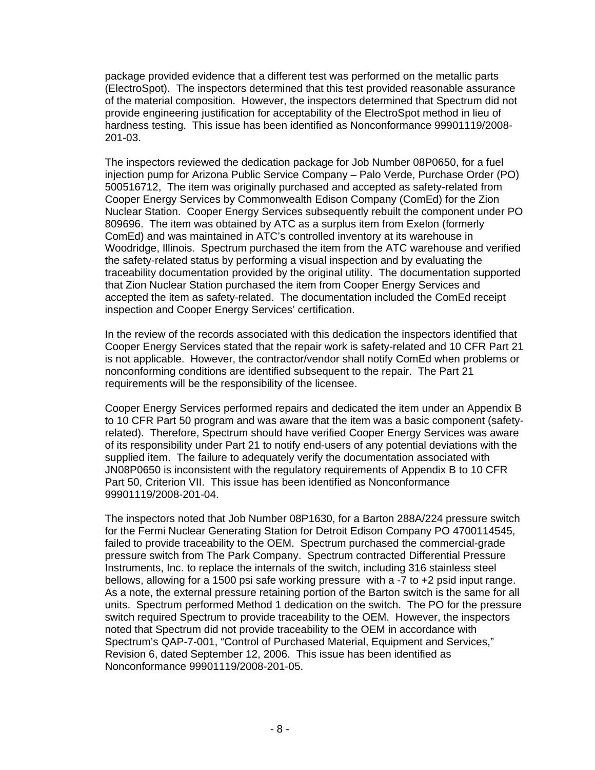package provided evidence that a different test was performed on the metallic parts (ElectroSpot). The inspectors determined that this test provided reasonable assurance of the material composition. However, the inspectors determined that Spectrum did not provide engineering justification for acceptability of the ElectroSpot method in lieu of hardness testing. This issue has been identified as Nonconformance 99901119/2008- 201-03.

The inspectors reviewed the dedication package for Job Number 08P0650, for a fuel injection pump for Arizona Public Service Company – Palo Verde, Purchase Order (PO) 500516712, The item was originally purchased and accepted as safety-related from Cooper Energy Services by Commonwealth Edison Company (ComEd) for the Zion Nuclear Station. Cooper Energy Services subsequently rebuilt the component under PO 809696. The item was obtained by ATC as a surplus item from Exelon (formerly ComEd) and was maintained in ATC's controlled inventory at its warehouse in Woodridge, Illinois. Spectrum purchased the item from the ATC warehouse and verified the safety-related status by performing a visual inspection and by evaluating the traceability documentation provided by the original utility. The documentation supported that Zion Nuclear Station purchased the item from Cooper Energy Services and accepted the item as safety-related. The documentation included the ComEd receipt inspection and Cooper Energy Services' certification.

In the review of the records associated with this dedication the inspectors identified that Cooper Energy Services stated that the repair work is safety-related and 10 CFR Part 21 is not applicable. However, the contractor/vendor shall notify ComEd when problems or nonconforming conditions are identified subsequent to the repair. The Part 21 requirements will be the responsibility of the licensee.

Cooper Energy Services performed repairs and dedicated the item under an Appendix B to 10 CFR Part 50 program and was aware that the item was a basic component (safetyrelated). Therefore, Spectrum should have verified Cooper Energy Services was aware of its responsibility under Part 21 to notify end-users of any potential deviations with the supplied item. The failure to adequately verify the documentation associated with JN08P0650 is inconsistent with the regulatory requirements of Appendix B to 10 CFR Part 50, Criterion VII. This issue has been identified as Nonconformance 99901119/2008-201-04.

The inspectors noted that Job Number 08P1630, for a Barton 288A/224 pressure switch for the Fermi Nuclear Generating Station for Detroit Edison Company PO 4700114545, failed to provide traceability to the OEM. Spectrum purchased the commercial-grade pressure switch from The Park Company. Spectrum contracted Differential Pressure Instruments, Inc. to replace the internals of the switch, including 316 stainless steel bellows, allowing for a 1500 psi safe working pressure with a -7 to +2 psid input range. As a note, the external pressure retaining portion of the Barton switch is the same for all units. Spectrum performed Method 1 dedication on the switch. The PO for the pressure switch required Spectrum to provide traceability to the OEM. However, the inspectors noted that Spectrum did not provide traceability to the OEM in accordance with Spectrum's QAP-7-001, "Control of Purchased Material, Equipment and Services," Revision 6, dated September 12, 2006. This issue has been identified as Nonconformance 99901119/2008-201-05.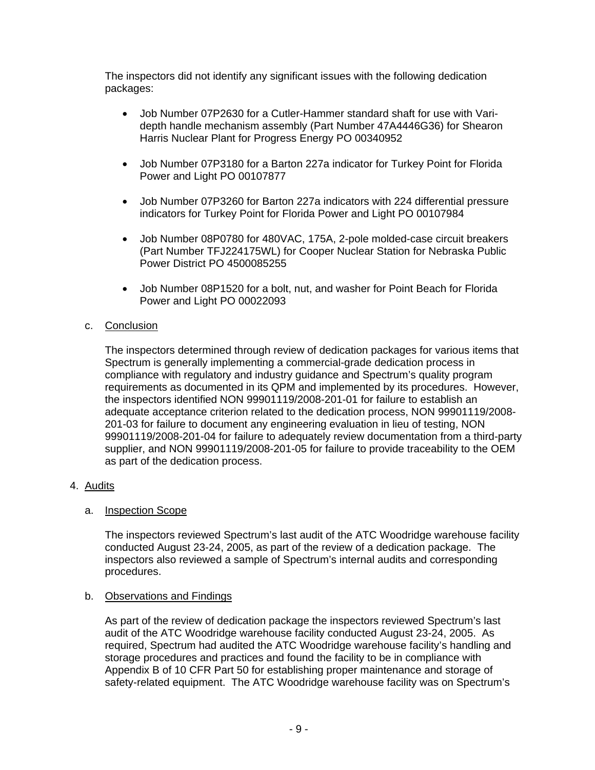The inspectors did not identify any significant issues with the following dedication packages:

- Job Number 07P2630 for a Cutler-Hammer standard shaft for use with Varidepth handle mechanism assembly (Part Number 47A4446G36) for Shearon Harris Nuclear Plant for Progress Energy PO 00340952
- Job Number 07P3180 for a Barton 227a indicator for Turkey Point for Florida Power and Light PO 00107877
- Job Number 07P3260 for Barton 227a indicators with 224 differential pressure indicators for Turkey Point for Florida Power and Light PO 00107984
- Job Number 08P0780 for 480VAC, 175A, 2-pole molded-case circuit breakers (Part Number TFJ224175WL) for Cooper Nuclear Station for Nebraska Public Power District PO 4500085255
- Job Number 08P1520 for a bolt, nut, and washer for Point Beach for Florida Power and Light PO 00022093

## c. Conclusion

The inspectors determined through review of dedication packages for various items that Spectrum is generally implementing a commercial-grade dedication process in compliance with regulatory and industry guidance and Spectrum's quality program requirements as documented in its QPM and implemented by its procedures. However, the inspectors identified NON 99901119/2008-201-01 for failure to establish an adequate acceptance criterion related to the dedication process, NON 99901119/2008- 201-03 for failure to document any engineering evaluation in lieu of testing, NON 99901119/2008-201-04 for failure to adequately review documentation from a third-party supplier, and NON 99901119/2008-201-05 for failure to provide traceability to the OEM as part of the dedication process.

## 4. Audits

## a. Inspection Scope

The inspectors reviewed Spectrum's last audit of the ATC Woodridge warehouse facility conducted August 23-24, 2005, as part of the review of a dedication package. The inspectors also reviewed a sample of Spectrum's internal audits and corresponding procedures.

## b. Observations and Findings

As part of the review of dedication package the inspectors reviewed Spectrum's last audit of the ATC Woodridge warehouse facility conducted August 23-24, 2005. As required, Spectrum had audited the ATC Woodridge warehouse facility's handling and storage procedures and practices and found the facility to be in compliance with Appendix B of 10 CFR Part 50 for establishing proper maintenance and storage of safety-related equipment. The ATC Woodridge warehouse facility was on Spectrum's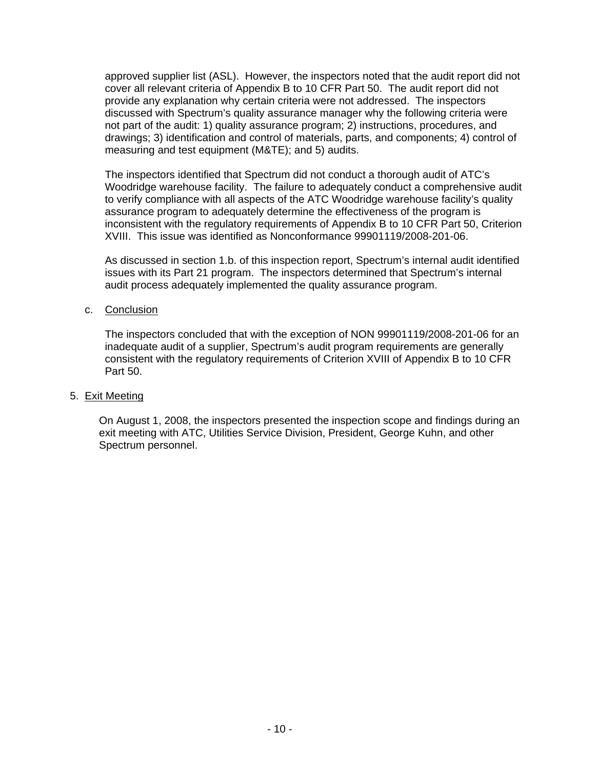approved supplier list (ASL). However, the inspectors noted that the audit report did not cover all relevant criteria of Appendix B to 10 CFR Part 50. The audit report did not provide any explanation why certain criteria were not addressed. The inspectors discussed with Spectrum's quality assurance manager why the following criteria were not part of the audit: 1) quality assurance program; 2) instructions, procedures, and drawings; 3) identification and control of materials, parts, and components; 4) control of measuring and test equipment (M&TE); and 5) audits.

The inspectors identified that Spectrum did not conduct a thorough audit of ATC's Woodridge warehouse facility. The failure to adequately conduct a comprehensive audit to verify compliance with all aspects of the ATC Woodridge warehouse facility's quality assurance program to adequately determine the effectiveness of the program is inconsistent with the regulatory requirements of Appendix B to 10 CFR Part 50, Criterion XVIII. This issue was identified as Nonconformance 99901119/2008-201-06.

As discussed in section 1.b. of this inspection report, Spectrum's internal audit identified issues with its Part 21 program. The inspectors determined that Spectrum's internal audit process adequately implemented the quality assurance program.

### c. Conclusion

The inspectors concluded that with the exception of NON 99901119/2008-201-06 for an inadequate audit of a supplier, Spectrum's audit program requirements are generally consistent with the regulatory requirements of Criterion XVIII of Appendix B to 10 CFR Part 50.

### 5. Exit Meeting

On August 1, 2008, the inspectors presented the inspection scope and findings during an exit meeting with ATC, Utilities Service Division, President, George Kuhn, and other Spectrum personnel.